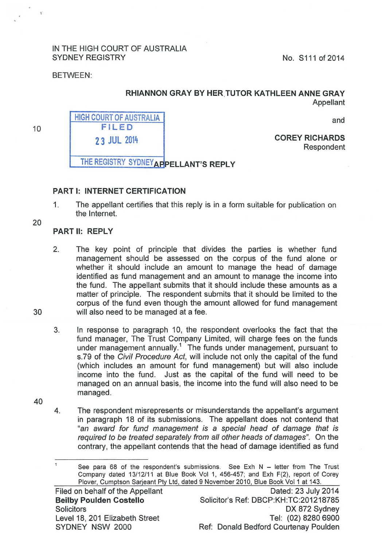## IN THE HIGH COURT OF AUSTRALIA SYDNEY REGISTRY No. 8111 of 2014

BETWEEN:

## RHIANNON GRAY BY HER.TUTOR KATHLEEN ANNE GRAY Appellant

and

HIGH COURT OF AUSTRALIA FILED 2 3 JUL 2014

COREY RICHARDS Respondent

THE REGISTRY SYDNEY APPELLANT'S REPLY

## PART 1: INTERNET CERTIFICATION

1. The appellant certifies that this reply is in a form suitable for publication on the Internet.

20

30

10

## PARTII: REPLY

- 2. The key point of principle that divides the parties is whether fund management should be assessed on the corpus of the fund alone or whether it should include an amount to manage the head of damage identified as fund management and an amount to manage the income into the fund. The appellant submits that it should include these amounts as a matter of principle. The respondent submits that it should be limited to the corpus of the fund even though the amount allowed for fund management will also need to be managed at a fee.
- 3. In response to paragraph 10, the respondent overlooks the fact that the fund manager, The Trust Company Limited, will charge fees on the funds under management annually.<sup>1</sup> The funds under management, pursuant to s.79 of the Civil Procedure Act, will include not only the capital of the fund (which includes an amount for fund management) but will also include income into the fund. Just as the capital of the fund will need to be managed on an annual basis, the income into the fund will also need to be managed.
- 40
- 4. The respondent misrepresents or misunderstands the appellant's argument in paragraph 18 of its submissions. The appellant does not contend that "an award for fund management is a special head of damage that is required to be treated separately from all other heads of damages". On the contrary, the appellant contends that the head of damage identified as fund

 $\mathbf{1}$ See para 68 of the respondent's submissions. See Exh  $N -$  letter from The Trust Company dated 13/12/11 at Blue Book Vol 1, 456-457; and Exh F(2), report of Corey Plover, Cumptson Sarjeant Pty Ltd, dated 9 November 2010, Blue Book Vol 1 at 143.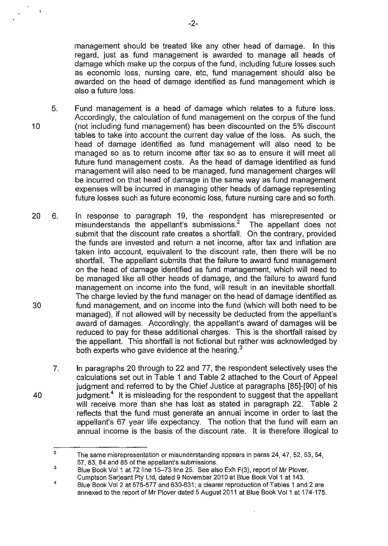management should be treated like any other head of damage. In this regard, just as fund management is awarded to manage all heads of damage which make up the corpus of the fund, including future losses such as economic loss, nursing care, etc, fund management should also be awarded on the head of damage identified as fund management which is also a future loss.

- 5. 10 Fund management is a head of damage which relates to a future loss. Accordingly, the calculation of fund management on the corpus of the fund (not including fund management) has been discounted on the 5% discount tables to take into account the current day value of the loss. As such, the head of damage identified as fund management will also need to be managed so as to return income after tax so as to ensure it will meet all future fund management costs. As the head of damage identified as fund management will also need to be managed, fund management charges will be incurred on that head of damage in the same way as fund management expenses will be incurred in managing other heads of damage representing future losses such as future economic loss, future nursing care and so forth.
- 20 6. 30 In response to paragraph 19, the respondent has misrepresented or misunderstands the appellant's submissions.<sup>2</sup> The appellant does not submit that the discount rate creates a shortfall. On the contrary, provided the funds are invested and return a net income, after tax and inflation are taken into account, equivalent to the discount rate, then there will be no shortfall. The appellant submits that the failure to award fund management on the head of damage identified as fund management, which will need to be managed like all other heads of damage, and the failure to award fund management on income into the fund, will result in an inevitable shortfall. The charge levied by the fund manager on the head of damage identified as fund management, and on income into the fund (which will both need to be managed), if not allowed will by necessity be deducted from the appellant's award of damages. Accordingly, the appellant's award of damages will be reduced to pay for these additional charges. This is the shortfall raised by the appellant. This shortfall is not fictional but rather was acknowledged by both experts who gave evidence at the hearing.<sup>3</sup>
	- 7. In paragraphs 20 through to 22 and 77, the respondent selectively uses the calculations set out in Table 1 and Table 2 attached to the Court of Appeal judgment and referred to by the Chief Justice at paragraphs [85]-[90] of his judgment.<sup>4</sup> It is misleading for the respondent to suggest that the appellant will receive more than she has lost as stated in paragraph 22. Table 2 reflects that the fund must generate an annual income in order to last the appellant's 67 year life expectancy. The notion that the fund will earn an annual income is the basis of the discount rate. It is therefore illogical to

40

 $\mathbf{t}$ 

<sup>2</sup>  The same misrepresentation or misunderstanding appears in paras 24, 47, 52, 53, 54, 57, 83, 84 and 85 of the appellant's submissions.

<sup>3</sup>  Blue Book Vol 1 at 72 line 15-73 line 25. See also Exh F(3), report of Mr Plover, Cumptson Sarjeant Pty Ltd, dated 9 November 2010 at Blue Book Vol 1 at 143.

<sup>4</sup>  Blue Book Vol 2 at 575-577 and 630-631; a clearer reproduction of Tables 1 and 2 are annexed to the report of Mr Plover dated 5 August 2011 at Blue Book Vol 1 at 174-175.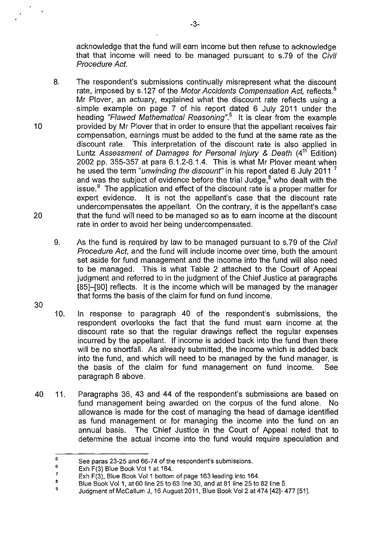acknowledge that the fund will earn income but then refuse to acknowledge that that income will need to be managed pursuant to s.79 of the Civil Procedure Act.

- 8. The respondent's submissions continually misrepresent what the discount rate, imposed by s.127 of the Motor Accidents Compensation Act, reflects.<sup>5</sup> Mr Plover, an actuary, explained what the discount rate reflects using a simple example on page 7 of his report dated 6 July 2011 under the heading "Flawed Mathematical Reasoning".<sup>6</sup> It is clear from the example provided by Mr Plover that in order to ensure that the appellant receives fair compensation, earnings must be added to the fund at the same rate as the discount rate. This interpretation of the discount rate is also applied in Luntz Assessment of Damages for Personal Injury & Death (4<sup>th</sup> Edition) 2002 pp. 355-357 at para 6.1.2-6.1.4. This is what Mr Plover meant when he used the term "*unwinding the discount*" in his report dated 6 July 2011<sup>7</sup> and was the subject of evidence before the trial Judge, $^8$  who dealt with the issue. $9$  The application and effect of the discount rate is a proper matter for expert evidence. It is not the appellant's case that the discount rate undercompensates the appellant. On the contrary, it is the appellant's case that the fund will need to be managed so as to earn income at the discount rate in order to avoid her being undercompensated.
	- 9. As the fund is required by law to be managed pursuant to s.79 of the Civil Procedure Act, and the fund will include income over time, both the amount set aside for fund management and the income into the fund will also need to be managed. This is what Table 2 attached to the Court of Appeal judgment and referred to in the judgment of the Chief Justice at paragraphs [85]-[90] reflects. It is the income which will be managed by the manager that forms the basis of the claim for fund on fund income.
- 30

10

20

- 10. In response to paragraph 40 of the respondent's submissions, the respondent overlooks the fact that the fund must earn income at the discount rate so that the regular drawings reflect the regular expenses incurred by the appellant. If income is added back into the fund then there will be no shortfall. As already submitted, the income which is added back into the fund, and which will need to be managed by the fund manager, is the basis of the claim for fund management on fund income. See paragraph 8 above.
- 40 11. Paragraphs 36, 43 and 44 of the respondent's submissions are based on fund management being awarded on the corpus of the fund alone. No allowance is made for the cost of managing the head of damage identified as fund management or for managing the income into the fund on an annual basis. The Chief Justice in the Court of Appeal noted that to determine the actual income into the fund would require speculation and

<sup>5</sup>  See paras 23-25 and 66-74 of the respondent's submissions.

<sup>6</sup>  Exh F(3) Blue Book Vol 1 at 164.

<sup>7</sup>  Exh F(3), Blue Book Vol 1 bottom of page 163 leading into 164.

B Blue Book Vol 1, at 60 line 25 to 63 line 30, and at 81 line 25 to 82 line 5.

<sup>9</sup>  Judgment of McCallum J, 16 August 2011, Blue Book Vol2 at 474 [42]- 477 [51].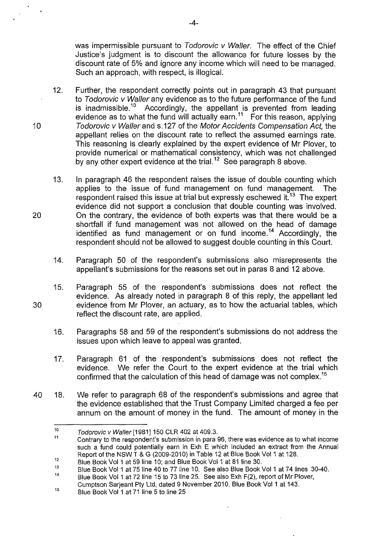was impermissible pursuant to Todorovic v Waller. The effect of the Chief Justice's judgment is to discount the allowance for future losses by the discount rate of 5% and ignore any income which will need to be managed. Such an approach, with respect, is illogical.

- 12. Further, the respondent correctly points out in paragraph 43 that pursuant to Todorovic v Waller any evidence as to the future performance of the fund is receivent in 10 Accordingly, the appellant is prevented from leading evidence as to what the fund will actually earn.<sup>11</sup> For this reason, applying 10 Todorovic v Waller and s.127 of the Motor Accidents Compensation Act, the appellant relies on the discount rate to reflect the assumed earnings rate. This reasoning is clearly explained by the expert evidence of Mr Plover, to provide numerical or mathematical consistency, which was not challenged by any other expert evidence at the trial.<sup>12</sup> See paragraph 8 above.
- 13. In paragraph 46 the respondent raises the issue of double counting which applies to the issue of fund management on fund management. The respondent raised this issue at trial but expressly eschewed it.<sup>13</sup> The expert evidence did not support a conclusion that double counting was involved. 20 On the contrary, the evidence of both experts was that there would be a shortfall if fund management was not allowed on the head of damage identified as fund management or on fund income.<sup>14</sup> Accordingly, the respondent should not be allowed to suggest double counting in this Court.
	- 14. Paragraph 50 of the respondent's submissions also misrepresents the appellant's submissions for the reasons set out in paras 8 and 12 above.
- 15. Paragraph 55 of the respondent's submissions does not reflect the evidence. As already noted in paragraph 8 of this reply, the appellant led 30 evidence from Mr Plover, an actuary, as to how the actuarial tables, which reflect the discount rate, are applied.
	- 16. Paragraphs 58 and 59 of the respondent's submissions do not address the issues upon which leave to appeal was granted.
	- 17. Paragraph 61 of the respondent's submissions does not reflect the evidence. We refer the Court to the expert evidence at the trial which confirmed that the calculation of this head of damage was not complex.<sup>15</sup>
- 40 18. We refer to paragraph 68 of the respondent's submissions and agree that the evidence established that the Trust Company Limited charged a fee per annum on the amount of money in the fund. The amount of money in the

-4-

<sup>10</sup>  Todorovic v Waller [1981] 150 CLR 402 at 409.3.

<sup>11</sup>  12 Contrary to the respondent's submission in para 96, there was evidence as to what income such a fund could potentially earn in Exh E which included an extract from the Annual Report of the NSW T & G (2009-2010) in Table 12 at Blue Book Vol 1 at 128.

Blue Book Vol 1 at 59 line 10; and Blue Book Vol 1 at 81 line 30.

<sup>13</sup>  14 Blue Book Vol 1 at 75 line 40 to 77 line 10. See also Blue Book Vol 1 at 74 lines 30-40.

Blue Book Vol 1 at 72 line 15 to 73 line 25. See also Exh F(2), report of Mr Plover, Cumptson Sarjeant Pty Ltd, dated 9 November 2010, Blue Book Vol 1 at 143.

<sup>15</sup>  Blue Book Vol 1 at 71 line 5 to line 25